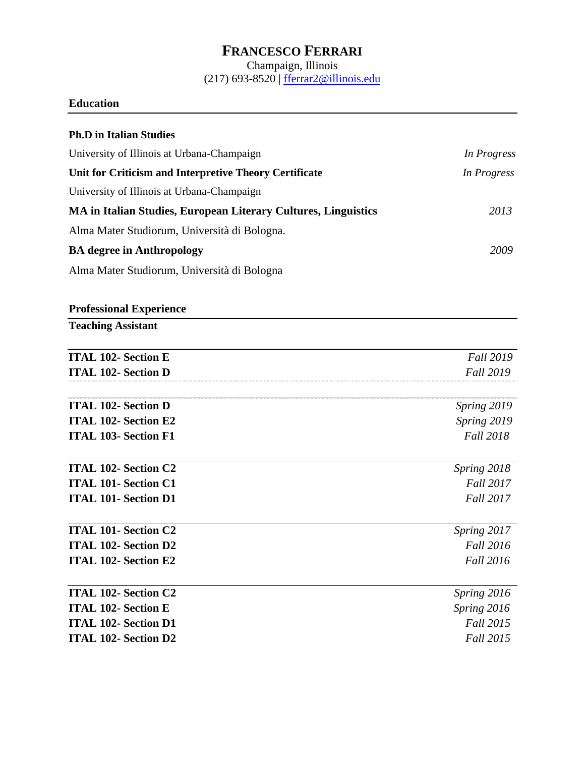# **FRANCESCO FERRARI**

Champaign, Illinois (217) 693-8520 | fferrar2@illinois.edu

# **Education**

| <b>Ph.D</b> in Italian Studies                                        |             |
|-----------------------------------------------------------------------|-------------|
| University of Illinois at Urbana-Champaign                            | In Progress |
| Unit for Criticism and Interpretive Theory Certificate                | In Progress |
| University of Illinois at Urbana-Champaign                            |             |
| <b>MA in Italian Studies, European Literary Cultures, Linguistics</b> | 2013        |
| Alma Mater Studiorum, Università di Bologna.                          |             |
| <b>BA</b> degree in Anthropology                                      | 2009        |
| Alma Mater Studiorum, Università di Bologna                           |             |

# **Professional Experience**

**Teaching Assistant**

| <b>ITAL 102- Section E</b><br><b>ITAL 102- Section D</b> | <b>Fall 2019</b> |
|----------------------------------------------------------|------------------|
|                                                          | <b>Fall 2019</b> |
| <b>ITAL 102- Section D</b>                               | Spring 2019      |
| <b>ITAL 102- Section E2</b>                              | Spring 2019      |
| <b>ITAL 103- Section F1</b>                              | <b>Fall 2018</b> |
| <b>ITAL 102- Section C2</b>                              | Spring 2018      |
| <b>ITAL 101- Section C1</b>                              | <b>Fall 2017</b> |
| <b>ITAL 101- Section D1</b>                              | <b>Fall 2017</b> |
| <b>ITAL 101- Section C2</b>                              | Spring 2017      |
| <b>ITAL 102- Section D2</b>                              | <b>Fall 2016</b> |
| <b>ITAL 102- Section E2</b>                              | <b>Fall 2016</b> |
| <b>ITAL 102- Section C2</b>                              | Spring 2016      |
| <b>ITAL 102- Section E</b>                               | Spring 2016      |
| <b>ITAL 102- Section D1</b>                              | <b>Fall 2015</b> |
| <b>ITAL 102- Section D2</b>                              | <b>Fall 2015</b> |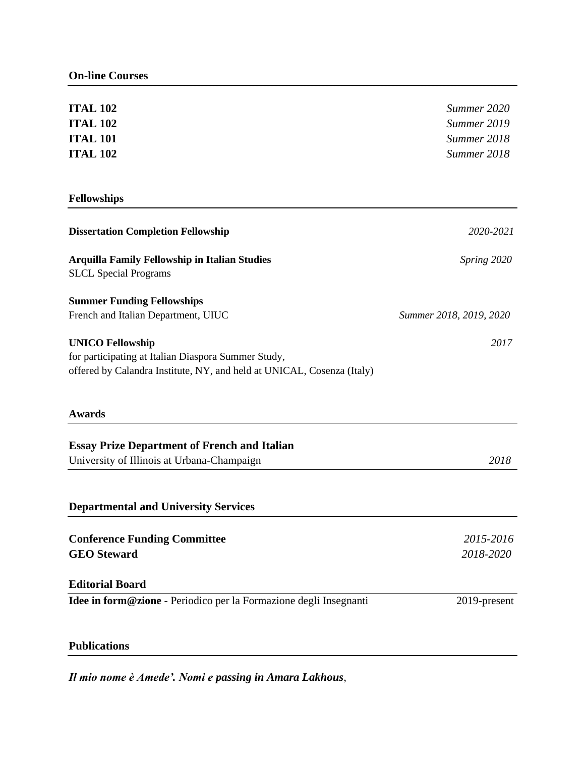| <b>ITAL 102</b>                                                                                                                                          | Summer 2020             |
|----------------------------------------------------------------------------------------------------------------------------------------------------------|-------------------------|
| <b>ITAL 102</b>                                                                                                                                          | Summer 2019             |
| <b>ITAL 101</b>                                                                                                                                          | Summer 2018             |
| <b>ITAL 102</b>                                                                                                                                          | Summer 2018             |
| <b>Fellowships</b>                                                                                                                                       |                         |
| <b>Dissertation Completion Fellowship</b>                                                                                                                | 2020-2021               |
| <b>Arquilla Family Fellowship in Italian Studies</b><br><b>SLCL Special Programs</b>                                                                     | Spring 2020             |
| <b>Summer Funding Fellowships</b>                                                                                                                        |                         |
| French and Italian Department, UIUC                                                                                                                      | Summer 2018, 2019, 2020 |
| <b>UNICO Fellowship</b><br>for participating at Italian Diaspora Summer Study,<br>offered by Calandra Institute, NY, and held at UNICAL, Cosenza (Italy) | 2017                    |
| <b>Awards</b>                                                                                                                                            |                         |
| <b>Essay Prize Department of French and Italian</b>                                                                                                      |                         |
| University of Illinois at Urbana-Champaign                                                                                                               | 2018                    |
|                                                                                                                                                          |                         |
| <b>Departmental and University Services</b>                                                                                                              |                         |
| <b>Conference Funding Committee</b><br><b>GEO</b> Steward                                                                                                | 2015-2016<br>2018-2020  |
| <b>Editorial Board</b>                                                                                                                                   |                         |
| Idee in form@zione - Periodico per la Formazione degli Insegnanti                                                                                        | 2019-present            |
| <b>Publications</b>                                                                                                                                      |                         |

*Il mio nome è Amede'. Nomi e passing in Amara Lakhous*,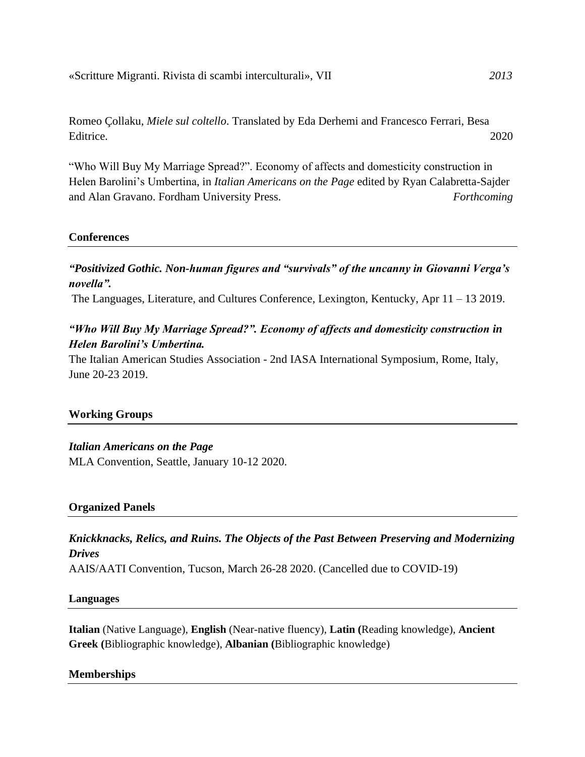Romeo Çollaku, *Miele sul coltello*. Translated by Eda Derhemi and Francesco Ferrari, Besa Editrice. 2020

"Who Will Buy My Marriage Spread?". Economy of affects and domesticity construction in Helen Barolini's Umbertina, in *Italian Americans on the Page* edited by Ryan Calabretta-Sajder and Alan Gravano. Fordham University Press. *Forthcoming* 

#### **Conferences**

### *"Positivized Gothic. Non-human figures and "survivals" of the uncanny in Giovanni Verga's novella".*

The Languages, Literature, and Cultures Conference, Lexington, Kentucky, Apr 11 – 13 2019.

## *"Who Will Buy My Marriage Spread?". Economy of affects and domesticity construction in Helen Barolini's Umbertina.*

The Italian American Studies Association - 2nd IASA International Symposium, Rome, Italy, June 20-23 2019.

#### **Working Groups**

#### *Italian Americans on the Page*

MLA Convention, Seattle, January 10-12 2020.

#### **Organized Panels**

*Knickknacks, Relics, and Ruins. The Objects of the Past Between Preserving and Modernizing Drives* AAIS/AATI Convention, Tucson, March 26-28 2020. (Cancelled due to COVID-19)

#### **Languages**

**Italian** (Native Language), **English** (Near-native fluency), **Latin (**Reading knowledge), **Ancient Greek (**Bibliographic knowledge), **Albanian (**Bibliographic knowledge)

#### **Memberships**